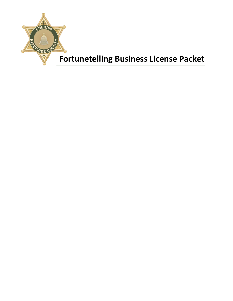

# **Fortunetelling Business License Packet**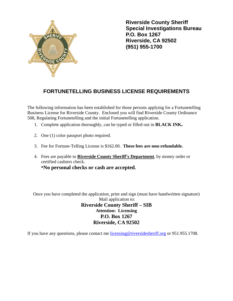

 **Riverside County Sheriff Special Investigations Bureau P.O. Box 1267 Riverside, CA 92502 (951) 955-1700**

# **FORTUNETELLING BUSINESS LICENSE REQUIREMENTS**

The following information has been established for those persons applying for a Fortunetelling Business License for Riverside County. Enclosed you will find Riverside County Ordinance 508, Regulating Fortunetelling and the initial Fortunetelling application.

- 1. Complete application thoroughly, can be typed or filled out in **BLACK INK.**
- 2. One (1) color passport photo required.
- 3. Fee for Fortune-Telling License is \$162.00. **These fees are non-refundable.**
- 4. Fees are payable to **Riverside County Sheriff's Department**, by money order or certified cashiers check. **\*No personal checks or cash are accepted.**

Once you have completed the application, print and sign (must have handwritten signature) Mail application to: **Riverside County Sheriff – SIB Attention: Licensing P.O. Box 1267 Riverside, CA 92502**

If you have any questions, please contact me [licensing@riversidesheriff.org](mailto:licensing@riversidesheriff.org) or 951.955.1708.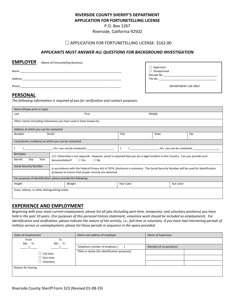## **RIVERSIDE COUNTY SHERIFF'S DEPARTMENT**

**APPLICATION FOR FORTUNETELLING LICENSE**

P.O. Box 1267

Riverside, California 92502

#### □ APPLICATION FOR FORTUNETELLING LICENSE- \$162.00

#### *APPLICANTS MUST ANSWER ALL QUESTIONS FOR BACKGROUND INVESTIGATION*

| <b>EMPLOYER</b> | (Name of Fortunetelling Business) |                             |
|-----------------|-----------------------------------|-----------------------------|
|                 |                                   | □ Approved<br>□ Disapproved |
| Name            |                                   |                             |
|                 |                                   | Receipt No.                 |
| Address         |                                   | File No.                    |
|                 |                                   |                             |
| Phone           |                                   | DEPARTMENT USE ONLY         |
|                 |                                   |                             |

#### **PERSONAL**

*The following information is required of you for verification and contact purposes:*

| Name (Please print or type)                                   |                                                                                                                                                                                                 |            |                           |     |
|---------------------------------------------------------------|-------------------------------------------------------------------------------------------------------------------------------------------------------------------------------------------------|------------|---------------------------|-----|
| Last                                                          | First                                                                                                                                                                                           |            | Middle                    |     |
|                                                               | Other names (including nicknames) you have used or been known by                                                                                                                                |            |                           |     |
| Address at which you can be contacted                         |                                                                                                                                                                                                 |            |                           |     |
| Number                                                        | Street                                                                                                                                                                                          | City       | State                     | Zip |
| Local phone number(s) at which you can be contacted           |                                                                                                                                                                                                 |            |                           |     |
|                                                               | Hrs. you can be contacted ____________________                                                                                                                                                  |            | Hrs. you can be contacted |     |
| <b>Birthdate</b><br>Month<br>Day<br>Year                      | U.S. Citizenship is not required. However, proof is required that you are a legal resident in this Country. Can you provide such<br>$\Box$ Yes<br>$\Box$ No<br>documentation?                   |            |                           |     |
| <b>Social Security Number</b>                                 | In accordance with the Federal Privacy Act of 1974, disclosure is voluntary. The Social Security Number will be used for identification<br>purposes to ensure that proper records are obtained. |            |                           |     |
| For purposes of identification, please provide the following: |                                                                                                                                                                                                 |            |                           |     |
| Height                                                        | Weight                                                                                                                                                                                          | Hair Color | Eye Color                 |     |
| Scars, tattoos, or other distinguishing marks                 |                                                                                                                                                                                                 |            |                           |     |

#### **EXPERIENCE AND EMPLOYMENT**

*Beginning with your most current employment, please list all jobs (including part-time, temporary, and voluntary positions) you have held in the past 10 years. (For purposes of this personal history statement, voluntary work should be included as employment). For identification and verification, please indicate the nature of the activity, i.e., full-time or voluntary. If you have had intervening periods of military service or unemployment, please list those periods in sequence in the space provided.*

| Dates of employment   | Name and address of employer                   | Name of Supervisor      |  |
|-----------------------|------------------------------------------------|-------------------------|--|
| From<br>To            |                                                |                         |  |
| Mo. Yr.<br>Yr.<br>Mo. | Telephone number of employer (                 | Name(s) of co-worker(s) |  |
| $\Box$ Full-time      | Titles or duties (for identification purposes) |                         |  |
| $\Box$ Part-time      |                                                |                         |  |
| $\Box$ Voluntary      |                                                |                         |  |
| Reason for leaving    |                                                |                         |  |
|                       |                                                |                         |  |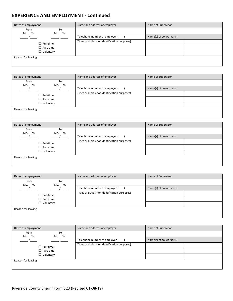# **EXPERIENCE AND EMPLOYMENT - continued**

| Dates of employment                 | Name and address of employer                   | Name of Supervisor      |  |
|-------------------------------------|------------------------------------------------|-------------------------|--|
| From<br>To<br>Mo. Yr.<br>Yr.<br>Mo. |                                                |                         |  |
|                                     | Telephone number of employer (                 | Name(s) of co-worker(s) |  |
| $\Box$ Full-time                    | Titles or duties (for identification purposes) |                         |  |
| $\Box$ Part-time                    |                                                |                         |  |
| $\Box$ Voluntary                    |                                                |                         |  |
| Reason for leaving                  |                                                |                         |  |
|                                     |                                                |                         |  |

| Dates of employment              | Name and address of employer                   | Name of Supervisor      |  |
|----------------------------------|------------------------------------------------|-------------------------|--|
| From<br>To<br>Mo. Yr.<br>Mo. Yr. |                                                |                         |  |
|                                  | Telephone number of employer (                 | Name(s) of co-worker(s) |  |
| $\Box$ Full-time                 | Titles or duties (for identification purposes) |                         |  |
| $\Box$ Part-time                 |                                                |                         |  |
| $\Box$ Voluntary                 |                                                |                         |  |
| Reason for leaving               |                                                |                         |  |
|                                  |                                                |                         |  |

| Dates of employment              | Name and address of employer                   | Name of Supervisor      |  |
|----------------------------------|------------------------------------------------|-------------------------|--|
| From<br>To<br>Mo. Yr.<br>Mo. Yr. |                                                |                         |  |
|                                  | Telephone number of employer (                 | Name(s) of co-worker(s) |  |
| $\Box$ Full-time                 | Titles or duties (for identification purposes) |                         |  |
| $\Box$ Part-time                 |                                                |                         |  |
| $\Box$ Voluntary                 |                                                |                         |  |
| Reason for leaving               |                                                |                         |  |
|                                  |                                                |                         |  |

| Dates of employment                 | Name and address of employer                   | Name of Supervisor      |  |
|-------------------------------------|------------------------------------------------|-------------------------|--|
| From<br>To<br>Mo. Yr.<br>Yr.<br>Mo. |                                                |                         |  |
|                                     | Telephone number of employer (                 | Name(s) of co-worker(s) |  |
| $\Box$ Full-time                    | Titles or duties (for identification purposes) |                         |  |
| $\Box$ Part-time                    |                                                |                         |  |
| $\Box$ Voluntary                    |                                                |                         |  |
| Reason for leaving                  |                                                |                         |  |
|                                     |                                                |                         |  |

| Dates of employment              | Name and address of employer                   | Name of Supervisor      |  |
|----------------------------------|------------------------------------------------|-------------------------|--|
| From<br>To<br>Mo. Yr.<br>Mo. Yr. |                                                |                         |  |
|                                  | Telephone number of employer (                 | Name(s) of co-worker(s) |  |
| $\Box$ Full-time                 | Titles or duties (for identification purposes) |                         |  |
| $\Box$ Part-time                 |                                                |                         |  |
| $\Box$ Voluntary                 |                                                |                         |  |
| Reason for leaving               |                                                |                         |  |
|                                  |                                                |                         |  |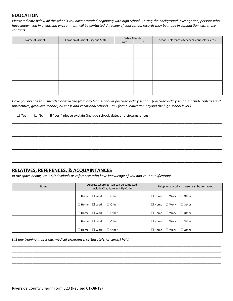#### **EDUCATION**

*Please indicate below all the schools you have attended beginning with high school. During the background investigation, persons who have known you in a learning environment will be contacted. A review of your school records may be made in conjunction with those contacts.*

| Name of School | Location of School (City and State) | Dates Attended |    | School References (teachers, counselors, etc.) |
|----------------|-------------------------------------|----------------|----|------------------------------------------------|
|                |                                     | From           | To |                                                |
|                |                                     |                |    |                                                |
|                |                                     |                |    |                                                |
|                |                                     |                |    |                                                |
|                |                                     |                |    |                                                |
|                |                                     |                |    |                                                |
|                |                                     |                |    |                                                |
|                |                                     |                |    |                                                |

*Have you ever been suspended or expelled from any high school or post-secondary school? (Post-secondary schools include colleges and universities, graduate schools, business and vocational schools – any formal education beyond the high school level.)*

\_\_\_\_\_\_\_\_\_\_\_\_\_\_\_\_\_\_\_\_\_\_\_\_\_\_\_\_\_\_\_\_\_\_\_\_\_\_\_\_\_\_\_\_\_\_\_\_\_\_\_\_\_\_\_\_\_\_\_\_\_\_\_\_\_\_\_\_\_\_\_\_\_\_\_\_\_\_\_ \_\_\_\_\_\_\_\_\_\_\_\_\_\_\_\_\_\_\_\_\_\_\_\_\_\_\_\_\_\_\_\_\_\_\_\_\_\_\_\_\_\_\_\_\_\_\_\_\_\_\_\_\_\_\_\_\_\_\_\_\_\_\_\_\_\_\_\_\_\_\_\_\_\_\_\_\_\_\_ \_\_\_\_\_\_\_\_\_\_\_\_\_\_\_\_\_\_\_\_\_\_\_\_\_\_\_\_\_\_\_\_\_\_\_\_\_\_\_\_\_\_\_\_\_\_\_\_\_\_\_\_\_\_\_\_\_\_\_\_\_\_\_\_\_\_\_\_\_\_\_\_\_\_\_\_\_\_\_ \_\_\_\_\_\_\_\_\_\_\_\_\_\_\_\_\_\_\_\_\_\_\_\_\_\_\_\_\_\_\_\_\_\_\_\_\_\_\_\_\_\_\_\_\_\_\_\_\_\_\_\_\_\_\_\_\_\_\_\_\_\_\_\_\_\_\_\_\_\_\_\_\_\_\_\_\_\_\_ \_\_\_\_\_\_\_\_\_\_\_\_\_\_\_\_\_\_\_\_\_\_\_\_\_\_\_\_\_\_\_\_\_\_\_\_\_\_\_\_\_\_\_\_\_\_\_\_\_\_\_\_\_\_\_\_\_\_\_\_\_\_\_\_\_\_\_\_\_\_\_\_\_\_\_\_\_\_\_ \_\_\_\_\_\_\_\_\_\_\_\_\_\_\_\_\_\_\_\_\_\_\_\_\_\_\_\_\_\_\_\_\_\_\_\_\_\_\_\_\_\_\_\_\_\_\_\_\_\_\_\_\_\_\_\_\_\_\_\_\_\_\_\_\_\_\_\_\_\_\_\_\_\_\_\_\_\_\_ \_\_\_\_\_\_\_\_\_\_\_\_\_\_\_\_\_\_\_\_\_\_\_\_\_\_\_\_\_\_\_\_\_\_\_\_\_\_\_\_\_\_\_\_\_\_\_\_\_\_\_\_\_\_\_\_\_\_\_\_\_\_\_\_\_\_\_\_\_\_\_\_\_\_\_\_\_\_\_

☐ Yes ☐ No If "yes," please explain (include school, date, and circumstances). **\_\_\_\_\_\_\_\_\_\_\_\_\_\_\_\_\_\_\_\_\_\_\_\_\_\_\_\_\_\_\_\_\_\_\_\_\_**

#### **RELATIVES, REFERENCES, & ACQUAINTANCES**

*In the space below, list 3-5 individuals as references who have knowledge of you and your qualifications.*

| Name | Address where person can be contacted<br>(Include City, State and Zip Code) | Telephone at which person can be contacted       |  |
|------|-----------------------------------------------------------------------------|--------------------------------------------------|--|
|      | $\Box$ Other<br>$\Box$ Home $\Box$ Work                                     | $\Box$ Other<br>$\square$ Work<br>$\Box$ Home    |  |
|      | $\Box$ Other<br>$\Box$ Home $\Box$ Work                                     | $\square$ Work<br>$\Box$ Other<br>$\square$ Home |  |
|      | $\Box$ Other<br>$\Box$ Home<br>$\square$ Work                               | $\square$ Work<br>$\Box$ Other<br>$\square$ Home |  |
|      | $\Box$ Other<br>$\Box$ Home $\Box$ Work                                     | $\square$ Work<br>$\Box$ Other<br>$\square$ Home |  |
|      | $\Box$ Other<br>$\square$ Work<br>$\square$ Home                            | $\Box$ Other<br>$\square$ Work<br>$\square$ Home |  |

\_\_\_\_\_\_\_\_\_\_\_\_\_\_\_\_\_\_\_\_\_\_\_\_\_\_\_\_\_\_\_\_\_\_\_\_\_\_\_\_\_\_\_\_\_\_\_\_\_\_\_\_\_\_\_\_\_\_\_\_\_\_\_\_\_\_\_\_\_\_\_\_\_\_\_\_\_\_\_\_\_\_\_\_\_\_\_\_\_\_\_\_ \_\_\_\_\_\_\_\_\_\_\_\_\_\_\_\_\_\_\_\_\_\_\_\_\_\_\_\_\_\_\_\_\_\_\_\_\_\_\_\_\_\_\_\_\_\_\_\_\_\_\_\_\_\_\_\_\_\_\_\_\_\_\_\_\_\_\_\_\_\_\_\_\_\_\_\_\_\_\_\_\_\_\_\_\_\_\_\_\_\_\_\_ \_\_\_\_\_\_\_\_\_\_\_\_\_\_\_\_\_\_\_\_\_\_\_\_\_\_\_\_\_\_\_\_\_\_\_\_\_\_\_\_\_\_\_\_\_\_\_\_\_\_\_\_\_\_\_\_\_\_\_\_\_\_\_\_\_\_\_\_\_\_\_\_\_\_\_\_\_\_\_\_\_\_\_\_\_\_\_\_\_\_\_\_ \_\_\_\_\_\_\_\_\_\_\_\_\_\_\_\_\_\_\_\_\_\_\_\_\_\_\_\_\_\_\_\_\_\_\_\_\_\_\_\_\_\_\_\_\_\_\_\_\_\_\_\_\_\_\_\_\_\_\_\_\_\_\_\_\_\_\_\_\_\_\_\_\_\_\_\_\_\_\_\_\_\_\_\_\_\_\_\_\_\_\_\_ \_\_\_\_\_\_\_\_\_\_\_\_\_\_\_\_\_\_\_\_\_\_\_\_\_\_\_\_\_\_\_\_\_\_\_\_\_\_\_\_\_\_\_\_\_\_\_\_\_\_\_\_\_\_\_\_\_\_\_\_\_\_\_\_\_\_\_\_\_\_\_\_\_\_\_\_\_\_\_\_\_\_\_\_\_\_\_\_\_\_\_\_

*List any training in first aid, medical experience, certificate(s) or card(s) held.*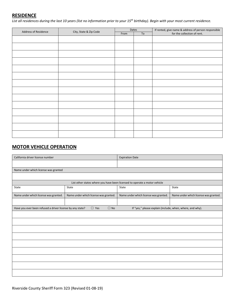## **RESIDENCE**

*List all residences during the last 10 years (list no information prior to your 15th birthday). Begin with your most current residence.*

| Address of Residence | City, State & Zip Code | Dates |    | If rented, give name & address of person responsible |
|----------------------|------------------------|-------|----|------------------------------------------------------|
|                      |                        | From  | To | for the collection of rent.                          |
|                      |                        |       |    |                                                      |
|                      |                        |       |    |                                                      |
|                      |                        |       |    |                                                      |
|                      |                        |       |    |                                                      |
|                      |                        |       |    |                                                      |
|                      |                        |       |    |                                                      |
|                      |                        |       |    |                                                      |
|                      |                        |       |    |                                                      |
|                      |                        |       |    |                                                      |
|                      |                        |       |    |                                                      |
|                      |                        |       |    |                                                      |
|                      |                        |       |    |                                                      |
|                      |                        |       |    |                                                      |
|                      |                        |       |    |                                                      |

# **MOTOR VEHICLE OPERATION**

| California driver license number                          |                                       | <b>Expiration Date</b>                                                    |                                       |  |
|-----------------------------------------------------------|---------------------------------------|---------------------------------------------------------------------------|---------------------------------------|--|
|                                                           |                                       |                                                                           |                                       |  |
| Name under which license was granted                      |                                       |                                                                           |                                       |  |
|                                                           |                                       |                                                                           |                                       |  |
|                                                           |                                       | List other states where you have been licensed to operate a motor vehicle |                                       |  |
| State                                                     | State                                 | State                                                                     | State                                 |  |
| Name under which license was granted.                     | Name under which license was granted. | Name under which license was granted.                                     | Name under which license was granted. |  |
|                                                           |                                       |                                                                           |                                       |  |
| Have you ever been refused a driver license by any state? | $\square$ Yes<br>$\Box$ No            | If "yes," please explain (include, when, where, and why).                 |                                       |  |
|                                                           |                                       |                                                                           |                                       |  |
|                                                           |                                       |                                                                           |                                       |  |
|                                                           |                                       |                                                                           |                                       |  |
|                                                           |                                       |                                                                           |                                       |  |
|                                                           |                                       |                                                                           |                                       |  |
|                                                           |                                       |                                                                           |                                       |  |
|                                                           |                                       |                                                                           |                                       |  |
|                                                           |                                       |                                                                           |                                       |  |
|                                                           |                                       |                                                                           |                                       |  |
|                                                           |                                       |                                                                           |                                       |  |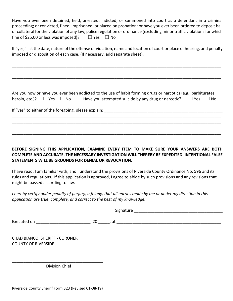Have you ever been detained, held, arrested, indicted, or summoned into court as a defendant in a criminal proceeding; or convicted, fined, imprisoned, or placed on probation; or have you ever been ordered to deposit bail or collateral for the violation of any law, police regulation or ordinance (excluding minor traffic violations for which fine of \$25.00 or less was imposed)?  $□$  Yes  $□$  No

If "yes," list the date, nature of the offense or violation, name and location of court or place of hearing, and penalty imposed or disposition of each case. (If necessary, add separate sheet).

\_\_\_\_\_\_\_\_\_\_\_\_\_\_\_\_\_\_\_\_\_\_\_\_\_\_\_\_\_\_\_\_\_\_\_\_\_\_\_\_\_\_\_\_\_\_\_\_\_\_\_\_\_\_\_\_\_\_\_\_\_\_\_\_\_\_\_\_\_\_\_\_\_\_\_\_\_\_\_\_\_\_\_\_\_\_\_\_\_\_\_\_ \_\_\_\_\_\_\_\_\_\_\_\_\_\_\_\_\_\_\_\_\_\_\_\_\_\_\_\_\_\_\_\_\_\_\_\_\_\_\_\_\_\_\_\_\_\_\_\_\_\_\_\_\_\_\_\_\_\_\_\_\_\_\_\_\_\_\_\_\_\_\_\_\_\_\_\_\_\_\_\_\_\_\_\_\_\_\_\_\_\_\_\_ \_\_\_\_\_\_\_\_\_\_\_\_\_\_\_\_\_\_\_\_\_\_\_\_\_\_\_\_\_\_\_\_\_\_\_\_\_\_\_\_\_\_\_\_\_\_\_\_\_\_\_\_\_\_\_\_\_\_\_\_\_\_\_\_\_\_\_\_\_\_\_\_\_\_\_\_\_\_\_\_\_\_\_\_\_\_\_\_\_\_\_\_ \_\_\_\_\_\_\_\_\_\_\_\_\_\_\_\_\_\_\_\_\_\_\_\_\_\_\_\_\_\_\_\_\_\_\_\_\_\_\_\_\_\_\_\_\_\_\_\_\_\_\_\_\_\_\_\_\_\_\_\_\_\_\_\_\_\_\_\_\_\_\_\_\_\_\_\_\_\_\_\_\_\_\_\_\_\_\_\_\_\_\_\_ \_\_\_\_\_\_\_\_\_\_\_\_\_\_\_\_\_\_\_\_\_\_\_\_\_\_\_\_\_\_\_\_\_\_\_\_\_\_\_\_\_\_\_\_\_\_\_\_\_\_\_\_\_\_\_\_\_\_\_\_\_\_\_\_\_\_\_\_\_\_\_\_\_\_\_\_\_\_\_\_\_\_\_\_\_\_\_\_\_\_\_\_

Are you now or have you ever been addicted to the use of habit forming drugs or narcotics (e.g., barbiturates, heroin, etc.)?  $\Box$  Yes  $\Box$  No Have you attempted suicide by any drug or narcotic?  $\Box$  Yes  $\Box$  No

\_\_\_\_\_\_\_\_\_\_\_\_\_\_\_\_\_\_\_\_\_\_\_\_\_\_\_\_\_\_\_\_\_\_\_\_\_\_\_\_\_\_\_\_\_\_\_\_\_\_\_\_\_\_\_\_\_\_\_\_\_\_\_\_\_\_\_\_\_\_\_\_\_\_\_\_\_\_\_\_\_\_\_\_\_\_\_\_\_\_\_\_ \_\_\_\_\_\_\_\_\_\_\_\_\_\_\_\_\_\_\_\_\_\_\_\_\_\_\_\_\_\_\_\_\_\_\_\_\_\_\_\_\_\_\_\_\_\_\_\_\_\_\_\_\_\_\_\_\_\_\_\_\_\_\_\_\_\_\_\_\_\_\_\_\_\_\_\_\_\_\_\_\_\_\_\_\_\_\_\_\_\_\_\_ \_\_\_\_\_\_\_\_\_\_\_\_\_\_\_\_\_\_\_\_\_\_\_\_\_\_\_\_\_\_\_\_\_\_\_\_\_\_\_\_\_\_\_\_\_\_\_\_\_\_\_\_\_\_\_\_\_\_\_\_\_\_\_\_\_\_\_\_\_\_\_\_\_\_\_\_\_\_\_\_\_\_\_\_\_\_\_\_\_\_\_\_ \_\_\_\_\_\_\_\_\_\_\_\_\_\_\_\_\_\_\_\_\_\_\_\_\_\_\_\_\_\_\_\_\_\_\_\_\_\_\_\_\_\_\_\_\_\_\_\_\_\_\_\_\_\_\_\_\_\_\_\_\_\_\_\_\_\_\_\_\_\_\_\_\_\_\_\_\_\_\_\_\_\_\_\_\_\_\_\_\_\_\_\_ \_\_\_\_\_\_\_\_\_\_\_\_\_\_\_\_\_\_\_\_\_\_\_\_\_\_\_\_\_\_\_\_\_\_\_\_\_\_\_\_\_\_\_\_\_\_\_\_\_\_\_\_\_\_\_\_\_\_\_\_\_\_\_\_\_\_\_\_\_\_\_\_\_\_\_\_\_\_\_\_\_\_\_\_\_\_\_\_\_\_\_\_

If "yes" to either of the foregoing, please explain:

**BEFORE SIGNING THIS APPLICATION, EXAMINE EVERY ITEM TO MAKE SURE YOUR ANSWERS ARE BOTH COMPLETE AND ACCURATE. THE NECESSARY INVESTIGATION WILL THEREBY BE EXPEDITED. INTENTIONAL FALSE STATEMENTS WILL BE GROUNDS FOR DENIAL OR REVOCATION.** 

I have read, I am familiar with, and I understand the provisions of Riverside County Ordinance No. 596 and its rules and regulations. If this application is approved, I agree to abide by such provisions and any revisions that might be passed according to law.

*I hereby certify under penalty of perjury, a felony, that all entries made by me or under my direction in this application are true, complete, and correct to the best of my knowledge.*

Signature \_\_\_\_\_\_\_\_\_\_\_\_\_\_\_\_\_\_\_\_\_\_\_\_\_\_\_\_\_\_\_\_\_\_\_\_\_\_\_

Executed on The contract of the contract of the contract of the contract of the contract of the contract of the contract of the contract of the contract of the contract of the contract of the contract of the contract of th

CHAD BIANCO, SHERIFF - CORONER COUNTY OF RIVERSIDE

\_\_\_\_\_\_\_\_\_\_\_\_\_\_\_\_\_\_\_\_\_\_\_\_\_\_\_\_\_\_\_\_\_\_\_\_\_\_\_\_ Division Chief

Riverside County Sheriff Form 323 (Revised 01-08-19)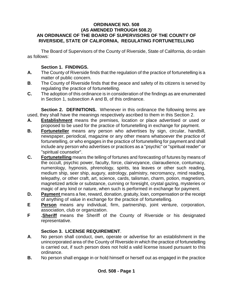#### **ORDINANCE NO. 508 (AS AMENDED THROUGH 508.2) AN ORDINANCE OF THE BOARD OF SUPERVISORS OF THE COUNTY OF RIVERSIDE, STATE OF CALIFORNIA, REGULATING FORTUNETELLING**

The Board of Supervisors of the County of Riverside, State of California, do ordain as follows:

### **Section 1. FINDINGS.**

- **A.** The County of Riverside finds that the regulation of the practice of fortunetelling is a matter of public concern.
- **B**. The County of Riverside finds that the peace and safety of its citizens is served by regulating the practice of fortunetelling.
- **C.** The adoption of this ordinance is in consideration of the findings as are enumerated in Section 1, subsection A and B, of this ordinance.

**Section 2. DEFINITIONS.** Whenever in this ordinance the following terms are used, they shall have the meanings respectively ascribed to them in this Section 2.

- **A. Establishment** means the premises, location or place advertised or used or proposed to be used for the practice of fortunetelling in exchange for payment.
- **B. Fortuneteller** means any person who advertises by sign, circular, handbill, newspaper, periodical, magazine or any other means whatsoever the practice of fortunetelling, or who engages in the practice of fortunetelling for payment and shall include any person who advertises or practices as a "psychic" or "spiritual reader" or "spiritual counselor".
- **C. Fortunetelling** means the telling of fortunes and forecasting of futures by means of the occult, psychic power, faculty, force, clairvoyance, clairaudience, contumacy, numerology, hypnosis, phrenology, spirits, tea leaves or other such reading, medium ship, seer ship, augury, astrology, palmistry, necromancy, mind reading, telepathy, or other craft, art, science, cards, talisman, charm, potion, magnetism, magnetized article or substance, cunning or foresight, crystal gazing, mysteries or magic of any kind or nature, when such is performed in exchange for payment.
- **D. Payment** means a fee, reward, donation, gratuity, loan, compensation or the receipt of anything of value in exchange for the practice of fortunetelling.
- **E Person** means any individual, firm, partnership, joint venture, corporation, association, club or organization.
- **F .Sheriff** means the Sheriff of the County of Riverside or his designated representative.

# **Section 3. LICENSE REQUIREMENT**.

- **A**. No person shall conduct, own, operate or advertise for an establishment in the unincorporated area of the County of Riverside in which the practice of fortunetelling is carried out, if such person does not hold a valid license issued pursuant to this ordinance.
- **B.** No person shall engage in or hold himself or herself out as engaged in the practice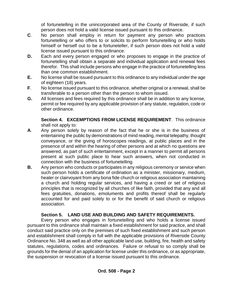of fortunetelling in the unincorporated area of the County of Riverside, if such person does not hold a valid license issued pursuant to this ordinance.

- **C**. No person shall employ in return for payment any person who practices fortunetelling or who offers to or solicits to perform fortunetelling or who holds himself or herself out to be a fortuneteller, if such person does not hold a valid license issued pursuant to this ordinance.
- **D.** Each and every person engaged or who proposes to engage in the practice of fortunetelling shall obtain a separate and individual application and renewal fees therefor. This shall include persons who engage in the practice of fortunetelling less than one common establishment.
- **E.** No license shall be issued pursuant to this ordinance to any individual under the age of eighteen (18) years.
- **F**. No license issued pursuant to this ordinance, whether original or a renewal, shall be transferable to a person other than the person to whom issued.
- **G.** All licenses and fees required by this ordinance shall be in addition to any license, permit or fee required by any applicable provision of any statute, regulation, code or other ordinance.

**Section 4. EXCEMPTIONS FROM LICENSE REQUIREMENT**. This ordinance shall not apply to:

- **A**. Any person solely by reason of the fact that he or she is in the business of entertaining the public by demonstrations of mind reading, mental telepathy, thought conveyance, or the giving of horoscopes readings, at public places and in the presence of and within the hearing of other persons and at which no questions are answered, as part of such entertainment, except in a manner to permit all persons present at such public place to hear such answers, when not conducted in connection with the business of fortunetelling.
- **B.** Any person who conducts or participates in any religious ceremony or service when such person holds a certificate of ordination as a minister, missionary, medium, healer or clairvoyant from any bona fide church or religious association maintaining a church and holding regular services, and having a creed or set of religious principles that is recognized by all churches of like faith, provided that any and all fees gratuities, donations, emoluments and profits thereof shall be regularly accounted for and paid solely to or for the benefit of said church or religious association.

# **Section 5. LAND USE AND BUILDING AND SAFETY REQUIREMENTS.**

Every person who engages in fortunetelling and who holds a license issued pursuant to this ordinance shall maintain a fixed establishment for said practice, and shall conduct said practice only on the premises of such fixed establishment and such person and establishment shall comply in full with the applicable provisions of Riverside County Ordinance No. 348 as well as all other applicable land use, building, fire, health and safety statutes, regulations, codes and ordinances. Failure or refusal to so comply shall be grounds for the denial of an application for license under this ordinance, or as appropriate, the suspension or revocation of a license issued pursuant to this ordinance.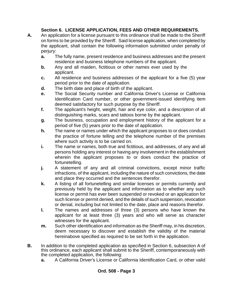## **Section 6. LICENSE APPLICATION, FEES AND OTHER REQUIREMENTS.**

- **A.** An application for a license pursuant to this ordinance shall be made to the Sheriff on forms to be provided by the Sheriff. Said license application, when completed by the applicant, shall contain the following information submitted under penalty of perjury:
	- **a.** The fully name, present residence and business addresses and the present residence and business telephone numbers of the applicant.
	- **b.** Any and all maiden, fictitious or other names ever used by the applicant.
	- **c.** All residence and business addresses of the applicant for a five (5) year period prior to the date of application.
	- **d.** The birth date and place of birth of the applicant.
	- **e.** The Social Security number and California Driver's License or California Identification Card number, or other government-issued identifying item deemed satisfactory for such purpose by the Sheriff.
	- **f.** The applicant's height, weight, hair and eye color, and a description of all distinguishing marks, scars and tattoos borne by the applicant.
	- **g.** The business, occupation and employment history of the applicant for a period of five (5) years prior to the date of application.
	- **h.** The name or names under which the applicant proposes to or does conduct the practice of fortune telling and the telephone number of the premises where such activity is to be carried on.
	- **i.** The name or names, both true and fictitious, and addresses, of any and all persons holding any interest or having any involvement in the establishment wherein the applicant proposes to or does conduct the practice of fortunetelling.
	- **j.** A statement of any and all criminal convictions, except minor traffic infractions, of the applicant, including the nature of such convictions, the date and place they occurred and the sentences therefor.
	- **k.** A listing of all fortunetelling and similar licenses or permits currently and previously held by the applicant and information as to whether any such license or permit has ever been suspended or revoked or an application for such license or permit denied, and the details of such suspension, revocation or denial, including but not limited to the date, place and reasons therefor.
	- **l.** The names and addresses of three (3) persons who have known the applicant for at least three (3) years and who will serve as character witnesses for the applicant.
	- **m.** Such other identification and information as the Sheriff may, in his discretion, deem necessary to discover and establish the validity of the material hereinabove specified as required to be set forth in the application.
- **B.** In addition to the completed application as specified in Section 6, subsection A of this ordinance, each applicant shall submit to the Sheriff, contemporaneously with the completed application, the following:
	- **a.** A California Driver's License or California Identification Card, or other valid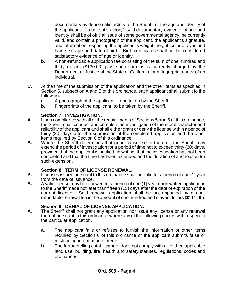documentary evidence satisfactory to the Sheriff, of the age and identity of the applicant. To be "satisfactory", said documentary evidence of age and identity shall be of official issue of some governmental agency, be currently valid, and contain a photograph of the applicant, the applicant's signature, and information respecting the applicant's weight, height, color of eyes and hair, sex, age and date of birth. Birth certificates shall not be considered satisfactory evidence of age or identity.

- **b.** A non-refundable application fee consisting of the sum of one hundred and thirty dollars (\$130.00) plus such sum as is currently charged by the Department of Justice of the State of California for a fingerprint check of an individual.
- **C**. At the time of the submission of the application and the other items as specified in Section 6, subsection A and B of this ordinance, each applicant shall submit to the following:
	- **a.** A photograph of the applicant, to be taken by the Sheriff.
	- **b.** Fingerprints of the applicant, to be taken by the Sheriff.

## **Section 7. INVESTIGATION.**

- **A.** Upon compliance with all of the requirements of Sections 5 and 6 of this ordinance, the Sheriff shall conduct and complete an investigation of the moral character and reliability of the applicant and shall either grant or deny the license within a period of thirty (30) days after the submission of the completed application and the other items required by Section 6 of this ordinance.
- **B.** Where the Sheriff determines that good cause exists therefor, the Sheriff may extend the period of investigation for a period of time not to exceed thirty (30) days, provided that the applicant is notified, in writing, that the investigation has not been completed and that the time has been extended and the duration of and reason for such extension.

# **Section 8. TERM OF LICENSE RENEWAL.**

- **A.** Licenses issued pursuant to this ordinance shall be valid for a period of one (1) year from the date of issuance.
- **B.** A valid license may be renewed for a period of one (1) year upon written application to the Sheriff made not later than fifteen (15) days after the date of expiration of the current license. Said renewal application shall be accompanied by a non-Said renewal application shall be accompanied by a nonrefundable renewal fee in the amount of one hundred and eleven dollars (\$111.00).

## **Section 9. DENIAL OF LICENSE APPLICATION.**

- **A.** The Sheriff shall not grant any application nor issue any license or any renewal thereof pursuant to this ordinance where any of the following occurs with respect to the particular application.
	- **a**. The applicant fails or refuses to furnish the information or other items required by Section 6 of this ordinance or the applicant submits false or misleading information or items.
	- **b.** The fortunetelling establishment does not comply with all of thee applicable land use, building, fire, health and safety statutes, regulations, codes and ordinances.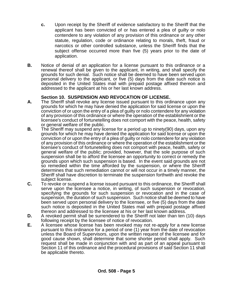- **c.** Upon receipt by the Sheriff of evidence satisfactory to the Sheriff that the applicant has been convicted of or has entered a plea of guilty or nolo contendere to any violation of any provision of this ordinance or any other statute, regulation, code or ordinance relating to morals, theft, fraud or narcotics or other controlled substance, unless the Sheriff finds that the subject offense occurred more than five (5) years prior to the date of application.
- **B.** Notice of denial of an application for a license pursuant to this ordinance or a renewal thereof shall be given to the applicant, in writing, and shall specify the grounds for such denial. Such notice shall be deemed to have been served upon personal delivery to the applicant, or five (5) days from the date such notice is deposited in the United States mail with prepaid postage affixed thereon and addressed to the applicant at his or her last known address.

#### **Section 10. SUSPENSION AND REVOCATION OF LICENSE.**

- **A.** The Sheriff shall revoke any license issued pursuant to this ordinance upon any grounds for which he may have denied the application for said license or upon the conviction of or upon the entry of a plea of guilty or nolo contendere for any violation of any provision of this ordinance or where the operation of the establishment or the licensee's conduct of fortunetelling does not comport with the peace, health, safety or general welfare of the public.
- **B.** The Sheriff may suspend any license for a period up to ninety(90) days, upon any grounds for which he may have denied the application for said license or upon the conviction of or upon the entry of a plea of guilty or nolo contendere for any violation of any provision of this ordinance or where the operation of the establishment or the licensee's conduct of fortunetelling does not comport with peace, health, safety or general welfare of the public; provided, however, that the sole purpose of such suspension shall be to afford the licensee an opportunity to correct or remedy the grounds upon which such suspension is based. In the event said grounds are not so remedied within the time afforded by the suspension, or where the Sheriff determines that such remediation cannot or will not occur in a timely manner, the Sheriff shall have discretion to terminate the suspension forthwith and revoke the subject license.
- **C.** To revoke or suspend a license issued pursuant to this ordinance, the Sheriff shall serve upon the licensee a notice, in writing, of such suspension or revocation, specifying the grounds for such suspension or revocation and in the case of suspension, the duration of such suspension. Such notice shall be deemed to have been served upon personal delivery to the licensee, or five (5) days from the date such notice is deposited in the United States mail with prepaid postage affixed thereon and addressed to the licensee at his or her last known address.
- **D.** A revoked permit shall be surrendered to the Sheriff not later than ten (10) days following receipt by the licensee of notice of revocation.
- **E.** A licensee whose license has been revoked may not re-apply for a new license pursuant to this ordinance for a period of one (1) year from the date of revocation unless the Board of Supervisors, upon the written request of the licensee and for good cause shown, shall determine that some shorter period shall apply. Such request shall be made in conjunction with and as part of an appeal pursuant to Section 11 of this ordinance and the procedural provisions of said Section 11 shall be applicable thereto.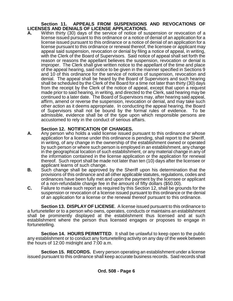#### **Section 11. APPEALS FROM SUSPENSIONS AND REVOCATIONS OF LICENSES AND DENIALS OF LICENSE APPLICATIONS.**

**A.** Within thirty (30) days of the service of notice of suspension or revocation of a license issued pursuant to this ordinance or a notice of denial of an application for a license issued pursuant to this ordinance or a notice of denial of an application for a license pursuant to this ordinance or renewal thereof, the licensee or applicant may appeal said suspension, revocation or denial by filing a notice of appeal, in writing, with the Clerk of the Board of Supervisors. Said notice of appeal shall set forth the reason or reasons the appellant believes the suspension, revocation or denial is improper. The Clerk shall give written notice to the appellant of the time and place of the appeal hearing, said notice to be given in the manner specified in Sections 9 and 10 of this ordinance for the service of notices of suspension, revocation and denial. The appeal shall be heard by the Board of Supervisors and such hearing shall be scheduled by the Clerk of the Board for a time not later than thirty (30) days from the receipt by the Clerk of the notice of appeal, except that upon a request made prior to said hearing, in writing, and directed to the Clerk, said hearing may be continued to a later date. The Board of Supervisors may, after hearing said appeal, affirm, amend or reverse the suspension, revocation or denial, and may take such other action as it deems appropriate. In conducting the appeal hearing, the Board of Supervisors shall not be bound by the formal rules of evidence. To be admissible, evidence shall be of the type upon which responsible persons are accustomed to rely in the conduct of serious affairs.

## **Section 12. NOTIFICATION OF CHANGES.**

- **A.** Any person who holds a valid license issued pursuant to this ordinance or whose application for a license under this ordinance is pending, shall report to the Sheriff, in writing, of any change in the ownership of the establishment owned or operated by such person or where such person is employed in an establishment, any change in the geographical location of such establishment, or any material change in any of the information contained in the license application or the application for renewal thereof. Such report shall be made not later than ten (10) days after the licensee or applicant learns of such change.
- **B.** Such change shall be approved by the Sheriff upon his determination that the provisions of this ordinance and all other applicable statutes, regulations, codes and ordinances have been fully met and upon the payment by the licensee or applicant of a non-refundable change fee in the amount of fifty dollars (\$50.00).
- **C.** Failure to make such report as required by this Section 12, shall be grounds for the suspension or revocation of a license issued pursuant to this ordinance or the denial of an application for a license or the renewal thereof pursuant to this ordinance.

**Section 13. DISPLAY OF LICENSE**. A license issued pursuant to this ordinance to a furtuneteller or to a person who owns, operates, conducts or maintains an establishment shall be prominently displayed at the establishment thus licensed and at such establishment where the person thus licensed engages or proposes to engage in fortunetelling.

**Section 14. HOURS PERMITTED**. It shall be unlawful to keep open to the public any establishment or to conduct any fortunetelling activity on any day of the week between the hours of 12:00 midnight and 7:00 a.m.

**Section 15. RECORDS.** Every person operating an establishment under a license issued pursuant to this ordinance shall keep accurate business records. Said records shall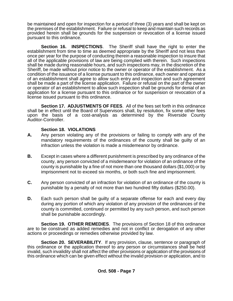be maintained and open for inspection for a period of three (3) years and shall be kept on the premises of the establishment. Failure or refusal to keep and maintain such records as provided herein shall be grounds for the suspension or revocation of a license issued pursuant to this ordinance.

**Section 16. INSPECTIONS**. The Sheriff shall have the right to enter the establishment from time to time as deemed appropriate by the Sheriff and not less than once per year for the purpose of conducting therein a reasonable inspection to insure that all of the applicable provisions of law are being complied with therein. Such inspections shall be made during reasonable hours, and such inspections may, in the discretion of the Sheriff, be made without prior notice to the owner or operator of the establishment. As a condition of the issuance of a license pursuant to this ordinance, each owner and operator of an establishment shall agree to allow such entry and inspection and such agreement shall be made a part of the license application. Failure or refusal on the part of the owner or operator of an establishment to allow such inspection shall be grounds for denial of an application for a license pursuant to this ordinance or for suspension or revocation of a license issued pursuant to this ordinance.

**Section 17. ADJUSTMENTS OF FEES**. All of the fees set forth in this ordinance shall be in effect until the Board of Supervisors shall, by resolution, fix some other fees upon the basis of a cost-analysis as determined by the Riverside County Auditor-Controller.

#### **Section 18. VIOLATIONS**

- **A.** Any person violating any of the provisions or failing to comply with any of the mandatory requirements of the ordinances of the county shall be guilty of an infraction unless the violation is made a misdemeanor by ordinance.
- **B.** Except in cases where a different punishment is prescribed by any ordinance of the county, any person convicted of a misdemeanor for violation of an ordinance of the county is punishable by a fine of not more than one thousand dollars (\$1,000) or by imprisonment not to exceed six months, or both such fine and imprisonment.
- **C.** Any person convicted of an infraction for violation of an ordinance of the county is punishable by a penalty of not more than two hundred fifty dollars (\$250.00).
- **D.** Each such person shall be guilty of a separate offense for each and every day during any portion of which any violation of any provision of the ordinances of the county is committed, continued or permitted by any such person, and such person shall be punishable accordingly.

**Section 19. OTHER REMEDIES**. The provisions of Section 18 of this ordinance are to be construed as added remedies and not in conflict or derogation of any other actions or proceedings or remedies otherwise provided by law.

**Section 20. SEVERABILITY**. If any provision, clause, sentence or paragraph of this ordinance or the application thereof to any person or circumstances shall be held invalid, such invalidity shall not affect the other provisions or application of the provisions of this ordinance which can be given effect without the invalid provision or application, and to